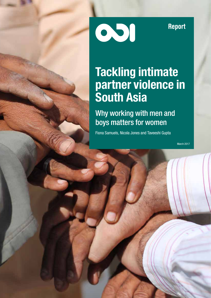Report

### Tackling intimate partner violence in South Asia

001

Why working with men and boys matters for women

Fiona Samuels, Nicola Jones and Taveeshi Gupta

March 2017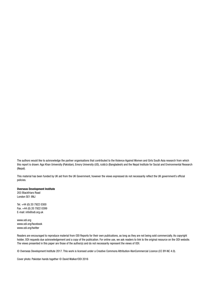The authors would like to acknowledge the partner organisations that contributed to the Violence Against Women and Girls South Asia research from which this report is drawn: Aga Khan University (Pakistan), Emory University (US), icddr,b (Bangladesh) and the Nepal Institute for Social and Environmental Research (Nepal).

This material has been funded by UK aid from the UK Government, however the views expressed do not necessarily reflect the UK government's official policies.

#### Overseas Development Institute

203 Blackfriars Road London SE1 8NJ

Tel. +44 (0) 20 7922 0300 Fax. +44 (0) 20 7922 0399 E-mail: info@odi.org.uk

www.odi.org www.odi.org/facebook www.odi.org/twitter

Readers are encouraged to reproduce material from ODI Reports for their own publications, as long as they are not being sold commercially. As copyright holder, ODI requests due acknowledgement and a copy of the publication. For online use, we ask readers to link to the original resource on the ODI website. The views presented in this paper are those of the author(s) and do not necessarily represent the views of ODI.

© Overseas Development Institute 2017. This work is licensed under a Creative Commons Attribution-NonCommercial Licence (CC BY-NC 4.0).

Cover photo: Pakistan hands together © David Walker/ODI 2016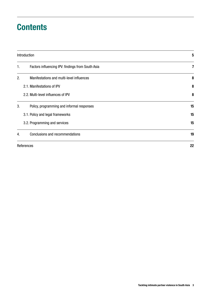### **Contents**

|    | Introduction                                      | 5  |
|----|---------------------------------------------------|----|
| 1. | Factors influencing IPV: findings from South Asia | 7  |
| 2. | Manifestations and multi-level influences         | 8  |
|    | 2.1. Manifestations of IPV                        | 8  |
|    | 2.2. Multi-level influences of IPV                | 8  |
| 3. | Policy, programming and informal responses        | 15 |
|    | 3.1. Policy and legal frameworks                  | 15 |
|    | 3.2. Programming and services                     | 15 |
| 4. | Conclusions and recommendations                   | 19 |
|    | References                                        | 22 |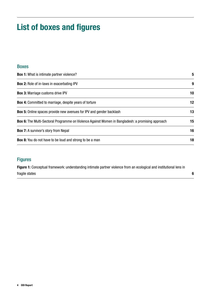### List of boxes and figures

#### Boxes

| <b>Box 1:</b> What is intimate partner violence?                                                         |    |
|----------------------------------------------------------------------------------------------------------|----|
| <b>Box 2:</b> Role of in-laws in exacerbating IPV                                                        | 9  |
| <b>Box 3: Marriage customs drive IPV</b>                                                                 | 10 |
| <b>Box 4:</b> Committed to marriage, despite years of torture                                            | 12 |
| <b>Box 5:</b> Online spaces provide new avenues for IPV and gender backlash                              | 13 |
| <b>Box 6:</b> The Multi-Sectoral Programme on Violence Against Women in Bangladesh: a promising approach | 15 |
| <b>Box 7:</b> A survivor's story from Nepal                                                              | 16 |
| <b>Box 8:</b> You do not have to be loud and strong to be a man                                          |    |

#### Figures

Figure 1: Conceptual framework: understanding intimate partner violence from an ecological and institutional lens in fragile states 6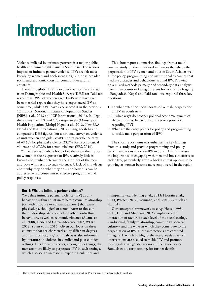## Introduction

Violence inflicted by intimate partners is a major public health and human rights issue in South Asia. The serious impacts of intimate partner violence (IPV) are felt most keenly by women and adolescent girls, but it has broader social and economic costs for communities and for countries.

There is no global IPV index, but the most recent data from Demographic and Health Surveys (DHS) for Pakistan reveal that 39% of women aged 15-49 who have ever been married report that they have experienced IPV at some time, while 33% have experienced it in the previous 12 months (National Institute of Population Studies [NIPS] et al., 2013 and ICF International, 2013). In Nepal these rates are 33% and 17% respectively (Ministry of Health Population [Mohp] Nepal et al., 2012, New ERA, Nepal and ICF International, 2012). Bangladesh has no comparable DHS figures, but a national survey on violence against women and girls (VAWG) notes prevalence rates of 49.6% for physical violence, 28.7% for psychological violence and 27.2% for sexual violence (BBS, 2016).

While there is a robust body of evidence on the impact on women of their exposure to IPV, relatively little is known about what determines the attitudes of the men and boys who resort to such violence. A lack of knowledge about why they do what they do – and how this can be addressed – is a constraint to effective programme and policy responses.

This short report summarises findings from a multicountry study on the multi-level influences that shape the perpetration of IPV by men and boys in South Asia, as well as the policy, programming and institutional dynamics that mediate attitudes and behaviours around IPV. Drawing on a mixed-methods primary and secondary data analysis from three countries facing different forms of state fragility – Bangladesh, Nepal and Pakistan – we explored three key questions.

- 1. To what extent do social norms drive male perpetration of IPV in South Asia?
- 2. In what ways do broader political economic dynamics shape attitudes, behaviours and service provision regarding IPV?
- 3. What are the entry points for policy and programming to tackle male perpetration of IPV?

The short report aims to synthesise the key findings from this study and provide programming and policy recommendations to tackle IPV in South Asia. It stresses the importance of engaging with men and boys in efforts to tackle IPV, particularly given a backlash that appears to be growing as women become more empowered in the region.

#### Box 1: What is intimate partner violence?

We define intimate partner violence (IPV) as any behaviour within an intimate heterosexual relationship (i.e. with a spouse or romantic partner) that causes physical, psychological or sexual harm to those in the relationship. We also include other controlling behaviours, as well as economic violence (Adams et al., 2008; Heise and Garcia-Moreno, 2002; WHO, 2012; Yount et al., 2015). Given our focus on three countries that are characterised by different degrees and forms of fragility, $1$  our analysis is also informed by literature on violence in conflict and post-conflict settings. This literature shows, among other things, that men are more likely to perpetrate IPV in such settings, which also see an increase in hyper masculinities and

in impunity (e.g. Fleming et al., 2013; Hossain et al., 2014; Petesch, 2012; Domingo, et al. 2013; Samuels et al., 2015).

Our conceptual framework (see e.g. Heise, 1998, 2011; Fulu and Miedema, 2015) emphasises the interaction of factors at each level of the social ecology – individual, family/relationship, community, society/ culture – and the ways in which they contribute to the perpetuation of IPV. These interactions are captured in Figure 1, which highlights the many levels at which interventions are needed to tackle IPV and promote more egalitarian gender norms and behaviours (see Samuels et al., forthcoming, for further details).

1 These might include civil unrest, local tensions, conflict and/or the risk or vulnerability to conflict.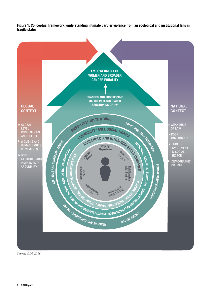Figure 1: Conceptual framework: understanding intimate partner violence from an ecological and institutional lens in fragile states



*Source: ODI, 2016*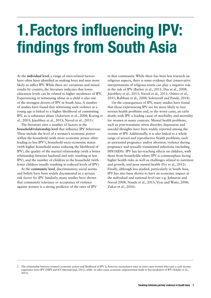# 1.Factors influencing IPV: findings from South Asia

At the **individual level**, a range of inter-related factors have often been identified as making boys and men more likely to inflict IPV. While there are variations and mixed results by country, the literature indicates that lower education levels can be related to higher incidences of IPV. Experiencing or witnessing abuse as a child is also one of the strongest drivers of IPV in South Asia. A number of studies have found that witnessing such violence at a young age is linked to a higher likelihood of committing IPV, as is substance abuse (Ackerson et al., 2008; Koeing et al., 2003; Jejeebhoy et al., 2013; Naved et al., 2011).

The literature cites a number of factors at the **household/relationship level** that influence IPV behaviour. These include the level of a woman's economic power within the household (with more economic power often leading to less IPV2 ), household socio-economic status (with higher household status reducing the likelihood of IPV), the quality of the marital relationship (with a better relationship between husband and wife resulting in less IPV), and the number of children in the household (with fewer children usually resulting in reduced levels of IPV).

At the **community level**, discriminatory social norms and beliefs have been widely documented as a serious risk factor for IPV. Similarly, many studies have shown that community tolerance or acceptance of violence against women is a strong predictor of the rates of IPV

in that community. While there has been less research on religious aspects, there is some evidence that conservative interpretations of religious tenets can play a negative role in the risk of IPV (Barker et al., 2011; Das et al., 2008; Jejeebhoy et al., 2013; Naved et al., 2011; Oshiro et al., 2011; Rabbani et al., 2008; Solotaroff and Pande, 2014).

On the consequences of IPV, many studies have found that those experiencing IPV are far more likely to face serious health problems and, in the worst cases, an early death, with IPV a leading cause of morbidity and mortality for women in many contexts. Mental health problems, such as post-traumatic stress disorder, depression and suicidal thoughts have been widely reported among the victims of IPV. Additionally, it is also linked to a whole range of sexual and reproductive health problems, such as unwanted pregnancy and/or abortion, violence during pregnancy and sexually transmitted infections (including HIV/AIDS). IPV has far-reaching effects on children, with those from households where IPV is commonplace facing higher health risks as well as challenges related to nutrition and growth, and poor mental health (Fry et al., 2012). Finally, although less studied, particularly in South Asia, IPV has also been shown to have an economic impact at the individual and national level (see e.g. Johnston and Naved 2008; Nanda et al., 2015; Vyas and Watts, 2008; Zakar et al., 2016).

<sup>2</sup> The relationship between women's economic power and likelihood of IPV is, however, inconclusive since in some cases women who earn a cash income experience more IPV (NIPS and ICF International, 2013), while in other cases, economic empowerment leads to less incidences of IPV (Schuler et al., 2013).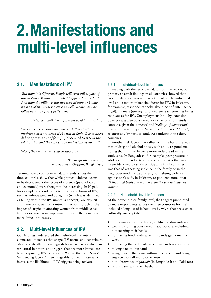## 2.Manifestations and multi-level influences

#### 2.1. Manifestations of IPV

*'But now it is different. People will even kill as part of this violence. Killing is not what happened in the past. And now the killing is not just part of honour killing, it's part of the usual violence as well. Women can be killed because of very petty issues,'* 

*(Interview with key informant aged 19, Pakistan).*

*'When we were young we saw our fathers beat our mothers almost to death if she was at fault. Our mothers did not protest out of fear. [...] They used to stay in the relationship and they are still in that relationship. [...]'*

*'Now, they may give a slap or two only.'* 

*(Focus group discussion, married men, Gazipur, Bangladesh)*

Turning now to our primary data, trends across the three countries show that while physical violence seems to be decreasing, other types of violence (psychological and economic) were thought to be increasing. In Nepal, for example, respondents noted that some forms of IPV, such as wife-beating and polygamy (which was identified as falling within the IPV umbrella concept), are explicit and therefore easier to monitor. Other forms, such as the impact of suspicion affecting women from middle-class families or women in employment outside the home, are more difficult to assess.

#### 2.2. Multi-level influences of IPV

Our findings underscored the multi-level and interconnected influences that shape IPV norms and behaviours. More specifically, we distinguish between drivers which are structural in nature and triggers that are more immediate factors spurring IPV behaviours. We use the terms 'risks' or 'influencing factors' interchangeably to mean those which increase the likelihood of IPV triggers being activated.

#### 2.2.1. Individual-level influences

In keeping with the secondary data from the region, our primary research findings in all countries showed that lack of education was seen as a key risk at the individual level and a major influencing factor for IPV. In Pakistan, for example, respondents spoke about lack of 'intelligence (*aqal*), manners (*tameez*), and awareness (*shaoor*)' as being root causes for IPV. Unemployment (and, by extension, poverty) was also considered a risk factor in our study contexts, given the '*stresses*' and '*feelings of depression*' that so often accompany '*economic problems at home*', as expressed by various study respondents in the three countries.

Another risk factor that tallied with the literature was that of drug and alcohol abuse, with study respondents noting that this had become more widespread in the study sites. In Bangladesh, for example, peer pressure in adolescence often led to substance abuse. Another risk factor identified by study participants in all countries was that of witnessing violence in the family or in the neighbourhood and as a result, normalising violence against one's wife. In Pakistan, respondents noted that '*If their dad beats the mother than the son will also be violent.*'

#### 2.2.2. Household-level influences

At the household or family level, the triggers pinpointed by male respondents across the three countries for IPV included a long list of behaviours by wives that are seen as culturally unacceptable:

- **•** not taking care of the house, children and/or in-laws
- **•** wearing clothing considered inappropriate, including not covering their heads
- not having food ready when husbands get home from work
- **•** not having the bed ready when husbands want to sleep
- **•** talking back to husbands
- **•** going outside the home without permission and being suspected of talking to other men
- **•** non-observance of *purdah* (in Bangladesh and Pakistan)
- **•** refusing sex with their husbands.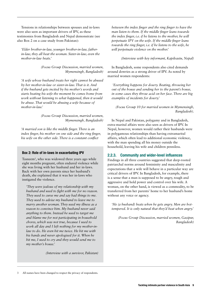Tensions in relationships between spouses and in-laws were also seen as important drivers of IPV, as these testimonies from Bangladesh and Nepal demonstrate (see also Box 2 on a case study from Pakistan):

*'Elder brother-in-law, younger brother-in-law, fatherin-law, they all beat the woman. Sister-in-law, even the mother-in-law beats.'* 

> *(Focus Group Discussion, married women, Mymensingh, Bangladesh)*

*'A wife whose husband treats her right cannot be abused by her mother-in-law or sister-in-law. That is it. And if the husband gets incited by his mother's words and starts beating his wife the moment he comes home from work without listening to what happened, then it would be abuse. That would be abusing a wife because of mother-in-law.'* 

> *(Focus Group Discussion, married women, Mymensingh, Bangladesh)*

*'A married son is like the middle finger. There is an index finger, his mother on one side and the ring finger, his wife on the other side. There is a constant conflict* 

#### Box 2: Role of in-laws in exacerbating IPV

Tasneem3 , who was widowed three years ago while eight months pregnant, often endured violence while she was living with her husband and her in-laws. Back with her own parents since her husband's death, she explained that it was her in-laws who instigated the violence.

*'They were jealous of my relationship with my husband and used to fight with me for no reason. They used to curse me and say bad things to me. They used to advise my husband to leave me to marry another woman. They used my illness as a reason to convince him. My husband never said anything to them. Instead he used to target me and blame me for not participating in household chores, which was not true, because I used to work all day and I left nothing for my mother-inlaw to do. He even hit me twice. He hit me with his hands and never apologised for it. When he hit me, I used to cry and they would send me to my mother's house.'*

*(Interview with a survivor, Pakistan)*

*between the index finger and the ring finger to have the man listen to them. If the middle finger leans towards the index finger, i.e. if he listens to the mother, he will perpetuate IPV on the wife. If the middle finger leans towards the ring finger, i.e. if he listens to the wife, he will perpetuate violence on the mother.'* 

*(Interview with key informant, Kapilvastu, Nepal)* 

In Bangladesh, some respondents also cited demands around dowries as a strong driver of IPV. As noted by married women respondents:

 *'Everything happens for dowry. Beating, throwing her out of the house and sending her to the parent's house, in some cases they throw acid on her face. There are big examples of incidents for dowry.'* 

*(Focus Group 10 for married women in Mymensingh, Bangladesh).* 

In Nepal and Pakistan, polygamy and in Bangladesh, extra-marital affairs were also seen as drivers of IPV. In Nepal, however, women would rather their husbands were in polygamous relationships than having extramarital affairs, which often lead to additional economic violence, with the man spending all his money outside the household, leaving his wife and children penniless.

#### 2.2.3. Community and wider-level influences

Findings in all three countries suggested that deep-rooted patriarchal norms around femininity and masculinity and expectations that a wife will behave in a particular way are critical drivers of IPV. In Bangladesh, for example, there is a sense that a man is supposed to be angry, tough and aggressive and hold power and control over his wife. A woman, on the other hand, is viewed as a commodity, to be transferred from her parents' home to her husband's home without any voice or agency.

*'He (a husband) beats when he gets angry. Men are hottempered. It is only natural that they'd beat when angry.'* 

*(Focus Group Discussion, married women, Gazipur, Bangladesh)*

3 All names have been changed to respect the privacy of respondents.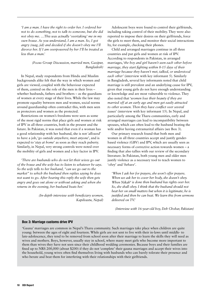*'I am a man. I have the right to order her. I ordered her not to do something, not to talk to someone, but she did not obey me. …This was actually 'overtaking' me in my own house. As you understand, I am a man. So, I got angry (raag, jid) and decided if she doesn't obey me I'll divorce her. If I am overpowered by her I'll be treated as less than a man.'* 

> *(Focus Group Discussion, married men, Gazipur, Bangladesh)*

In Nepal, study respondents from Hindu and Muslim backgrounds alike felt that the way in which women and girls are viewed, coupled with the behaviour expected of them, centred on the role of the men in their lives – whether husbands, fathers and brothers – as the guardians of women at every stage of their lives. While the law may promote equality between men and women, social norms around guardianship often contradict this, with men seen as protectors and women as the protected.

Restrictions on women's freedoms were seen as some of the most rigid norms that place girls and women at risk of IPV in all three countries, both in the present and the future. In Pakistan, it was noted that even if a woman has a good relationship with her husband, she is not '*allowed*' to have a job, '*go outside anywhere, meet anyone*', and is expected to '*stay at home*' as soon as they reach puberty. Similarly, in Nepal, very strong controls were noted over the mobility of girls and women and a key factor in IPV.

*'There are husbands who do not let their wives go out of the house and the wife has to listen to whatever he says. So the wife tells to her husband, "can we go out to the market" to which the husband then replies saying he does not want to go. After hearing this reply the wife then gets angry and goes out alone or without asking and when she returns in the evening, her husband beats her.'* 

> *(In-depth interview with beneficiary women, Kapilvastu, Nepal)*

Adolescent boys were found to control their girlfriends, including taking control of their mobility. They were also reported to impose their desires on their girlfriends, force the girls to meet them, and monitor their social interactions by, for example, checking their phones.

Child and arranged marriages continue in all three countries and put girls and women at risk of IPV. According to respondents in Pakistan, in arranged marriages, '*the boy and girl haven't seen each other before marriage, they start fighting within 8-15 days of their marriage because they haven't met, talked, or understood each other'* (interview with key informant 5). Similarly in Bangladesh, several key informants noted that child marriage is still prevalent and an underlying cause for IPV, given that young girls do not have enough understanding or knowledge and are most vulnerable to violence. They also noted that '*women lose their beauty if they are married off at an early age and men get easily attracted to other women. Then they have conflict over several issues*' (interview with key informant 15). In Nepal, and particularly among the Tharu communities, early and arranged marriages can lead to incompatibility between spouses, which can often lead to the husband beating the wife and/or having extramarital affairs (see Box 3).

Our primary research found that both men and women in all three countries accept and justify genderbased violence (GBV) and IPV, which are usually seen as necessary forms of corrective action towards women – a finding that also tallies with our review of the secondary literature. In Pakistan, both young men and older men justify violence as a necessary tool to teach women to '*obey*' and '*behave*'.

*'When I ask her for prayers, she won't offer prayers. When we ask her to cover her body, she doesn't obey.*  When Nikah<sup>4</sup> is done then husband has rights over her. *So, she shall obey. I think that the husband should not beat her on small matters but when it is legitimate, he is justified and then he can beat. We learn this from sermons delivered on TV.'* 

*(Interview with 16-year-old boy, Deh Chohar, Pakistan)* 

#### Box 3: Marriage customs drive IPV

'Gauna' marriages are common in Nepal's Tharu community. Such marriages take place when children are quite young: between the ages of eight and fourteen. While girls are not sent to live with their in-laws until middle- to late-adolescence, they tend to be removed from school soon after their marriage to learn the skills they will need as wives and mothers. Boys, however, usually stay in school, where many meet girls who become more important to them than wives they have not seen since their childhood wedding ceremonies. Because boys and their families are fined up to NRS 200,000 (about \$200) if they do not 'complete' their gauna marriages and accept their wives into the household, young wives often find themselves living with husbands who can barely tolerate their presence and who berate and beat them for interfering with their relationships with their girlfriends.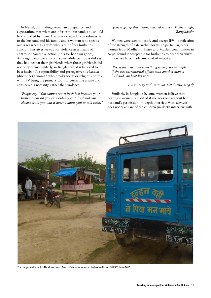In Nepal, our findings reveal an acceptance, and an expectation, that wives are inferior to husbands and should be controlled by them. A wife is expected to be submissive to the husband and his family and a woman who speaks out is regarded as a wife who is out of her husband's control. This gives leeway for violence as a means of control or corrective action ('it is for her own good'). Although views were mixed, some adolescent boys did say they had beaten their girlfriends when those girlfriends did not obey them. Similarly, in Bangladesh, it is believed to be a husband's responsibility and prerogative to *shashon*  (discipline) a woman who breaks social or religious norms, with IPV being the primary tool for correcting a wife and considered a necessity, rather than violence.

*'People say, "You cannot retort back just because your husband has hit you or scolded you. A husband can always scold you, but it doesn't allow you to talk back.'''*  *(Focus group discussion, married women, Mymensingh, Bangladesh)*

Women were seen to justify and accept IPV – a reflection of the strength of patriarchal norms. In particular, older women from Madheshi, Tharu and Muslim communities in Nepal found it acceptable for husbands to beat their wives if the wives have made any kind of mistake:

*'Yes, if the wife does something wrong, for example if she has extramarital affairs with another man, a husband can beat his wife.'* 

*(Case study with survivor, Kapilvastu, Nepal)* 

Similarly, in Bangladesh, some women believe that beating a woman is justified if she goes out without her husband's permission (in-depth interview with survivor), does not take care of the children (in-depth interview with



The bumper sticker on this Nepali van reads: 'Good wife is someone whom the husband likes'. © NISER Nepal 2016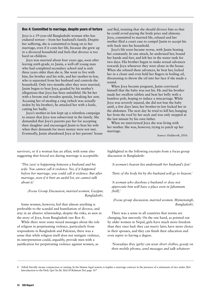#### Box 4: Committed to marriage, despite years of torture

Joya is a 19-year-old Bangladeshi woman who has endured torture – from her husband's family. Despite her suffering, she is committed to hang on to her marriage, even if it costs her life, because she grew up in a divorced household and feels that divorce is too hard on children.

Joya was married about four years ago, soon after leaving sixth grade, to Jasim, a well-off young man who had completed secondary school and is only three years older than she is. She went to live with him, his brother and his wife, and her mother-in-law, who is separated from her husband and controls the household. Only two months after they were married, Jasim began to beat Joya, goaded by his mother's allegations that Joya has been unfaithful. He hit her with a broom and wooden spatula, breaking her arm. Accusing her of stealing a ring (which was actually stolen by his brother), he attacked her with a knife, cutting her badly.

Joya's mother-in-law kept up a relentless campaign to ensure that Joya was subservient in the family. She demanded that Joya's parents pay her for accepting their daughter and encouraged Jasim to beat his wife when their demands for more money were not met. Eventually, Jasim abandoned Joya at her parents' house and fled, insisting that she should divorce him so that he could avoid paying the bride price and alimony. Joya, committed to married life, refused and her mother filed a court case to compel Jasim to accept his wife back into his household.

Joya's life soon became worse, with Jasim beating her constantly. In one attack, he undressed her, bound her hands and feet, and left her in the water tank for two days. His brother began to make sexual advances towards Joya whenever they were alone in the house. When she refused these advances, he beat her, locked her in a closet and even held her fingers in boiling oil, threatening to throw the oil into her face if she made a sound.

When Joya became pregnant, Jasim convinced himself that the baby was not his. He and his brother made her swallow tablets and beat her belly with a bamboo pole, hoping to induce a miscarriage. While Joya was severely injured, she did not lose the baby until, a few days later, her brother-in-law kicked her in the abdomen. The next day he tried to kill her, hanging her from the roof by her neck and was only stopped at the last minute by his own father.

When we interviewed Joya she was living with her mother. She was, however, trying to patch up her marriage.

*Source: Fieldwork, 2016.*

survivor), or if a woman has an affair, with some also suggesting that forced sex during marriage is acceptable.

*'This (sex) is happening between a husband and his wife. You cannot call it violence. Yes, if it happened before her marriage, you could call it violence. But after marriage, even if it hurt an awful lot, we cannot talk about it.'* 

*(Focus Group Discussion, married women, Gazipur, Bangladesh).*

Some women, however, feel that almost anything is preferable to the scandal and humiliation of divorce, and stay in an abusive relationship, despite the risks, as seen in the story of Joya, from Bangladesh (see Box 4).

While there were some mixed messages about the role of religion in perpetuating violence, particularly from respondents in Bangladesh and Pakistan, there was a sense that while religion itself does not instigate violence, its interpretation could, arguably, provide men with a justification for perpetrating violence against women, as

highlighted in the following excerpts from a focus group discussion in Bangladesh:

*'A woman's heaven lies underneath her husband's feet.'* 

*'Parts of the body hit by the husband will go to heaven.'*

*'A woman who disobeys a husband or does not appreciate him will have a place even in Jahannam [hell].'* 

*(Focus group discussion, married women, Mymensingh, Bangladesh).* 

There was a sense in all countries that norms are changing, but unevenly. On the one hand, as pointed out by older women in Nepal, girls have much more freedom than they once had: they can marry later, have more choice in their spouses, and they can finish their education and even aspire to having a degree.

*'Nowadays they (girls) can wear short clothes, gossip on their mobile phones, send messages and talk whatever* 

Nikah literally means conjunction or uniting. In the Islamic legal system, it implies a marriage contract in the presence of a minimum of two males. Ref: Introduction to the Holy Qur'An By Abd Al-Rahman Doi page 167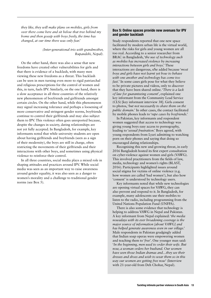*they like, they will make plans on mobiles, girls from over there come here and sit below that tree behind my home and then gossip with boys freely, the time has changed, at our time there was only fear.'* 

#### *(Inter-generational trio with grandmother, Rupandehi, Nepal).*

On the other hand, there was also a sense that new freedoms have created other vulnerabilities for girls and that there is evidence of a backlash, with many men viewing these new freedoms as a threat. This backlash can be seen in men turning even more to rigid patriarchal and religious prescriptions for the control of women and this, in turn, fuels IPV. Similarly, on the one hand, there is a slow acceptance in all three countries of the relatively new phenomenon of boyfriends and girlfriends amongst certain circles. On the other hand, while this phenomenon may signal increasing tolerance and perhaps a loosening of more conservative and stringent gender norms, boyfriends continue to control their girlfriends and may also subject them to IPV. This violence often goes unreported because, despite the changes in society, dating relationships are not yet fully accepted. In Bangladesh, for example, key informants noted that while university students are open about having girlfriends and boyfriends (seen as a sign of their modernity), the boys are still in charge, often restricting the movements of their girlfriends and their interactions with other boys, and sometimes using physical violence to reinforce their control.

In all three countries, social media plays a mixed role in shaping attitudes and practices around IPV. While social media was seen as an important way to raise awareness around gender equality, it was also seen as a danger to women's morality and a challenge to traditional gender norms (see Box 5).

#### Box 5: Online spaces provide new avenues for IPV and gender backlash

Study respondents reported that one new space facilitated by modern urban life is the virtual world, where the risks for girls and young women are all too real. According to a senior researcher from BRAC in Bangladesh, '*the use of technology such as mobiles has increased violence by increasing interactions between girls and boys*.' These interactions are dangerous, s/he added because '*most boys and girls have not learnt yet how to behave with one another and technology has come too fast.*' In some cases girls pose for what they believe to be private pictures and videos, only to discover that they have been shared online. '*There is a lack of law for guaranteeing consent*', explained one key informant from the Community Lead Service (CLS) [key informant interview 38]. Girls consent to photos, '*but not necessarily to share them on the public domain.*' In other cases, the contact facilitated by mobile phones leads to '*rape cases by boyfriends*.'

In Pakistan, key informants and respondent women suggested that access to technology was giving young boys easy access to pornography, leading to '*sexual frustration*.' Boys agreed, with young respondents from Lyari admitting to watching porn on their phones and saying that doing so encouraged dating relationships.

Recognising this new and growing threat, in early 2016 Bangladesh hosted its first expert consultation on cyber-violence against women and girls (VAWG). This involved practitioners from the fields of law, media, technology and women's rights (BLAST, 2016). Participants highlighted issues around social stigma for victims of online violence (e.g. how women are called 'bad women'), but also how 'consent' is understood by technology users.

Key informants noted that while new technologies are opening virtual spaces for VAWG, they can also prevent and respond to it. In Bangladesh, for example, many adolescents use their mobiles to listen to the radio, including programming from the United Nations Population Fund (UNFPA).

There is also some evidence that technology is helping to address VAWG in Nepal and Pakistan. A key informant from Nepal explained: '*the media nowadays with its ever broadening coverage is the major source of information [about VAWG] and has helped generate awareness even in our village*.' Male respondents in Pakistan grudgingly added that Indian soap operas were empowering women and teaching them to '*free*'. One younger man said: '*In the beginning, men used to order their wife. But now, a woman orders her husband. Our women have seen those Indian dramas and…they see their dresses and shoes and wish to wear them so in this way our women are getting free now*' (Interview with 21-year-old from Deh Chohar, Nepal).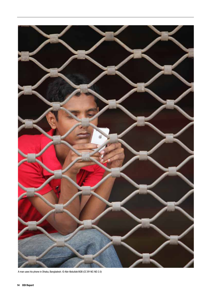

A man uses his phone in Dhaka, Bangladesh. © Abir Abdullah/ADB (CC BY-NC-ND 2.0)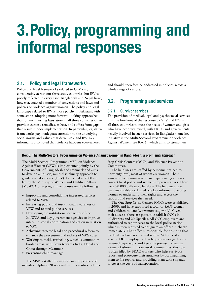## 3.Policy, programming and informal responses

#### 3.1. Policy and legal frameworks

Policy and legal frameworks related to GBV vary considerably across our three study countries, but IPV is poorly reflected in every case. Bangladesh and Nepal have, however, enacted a number of conventions and laws and policies on violence against women. The policy and legal landscape related to IPV is more patchy in Pakistan, with some states adopting more forward-looking approaches than others. Existing legislation in all three countries often provides cursory remedies, at best, and suffers from gaps that result in poor implementation. In particular, legislative frameworks pay inadequate attention to the underlying social norms and values that drive GBV and IPV. Key informants also noted that violence happens everywhere,

and should, therefore be addressed in policies across a whole range of sectors.

### 3.2. Programming and services

#### 3.2.1. Survivor services

The provision of medical, legal and psychosocial services is at the forefront of the response to GBV and IPV in all three countries to meet the needs of women and girls who have been victimised, with NGOs and governments heavily involved in such services. In Bangladesh, one key initiative is the Multi-Sectoral Programme on Violence Against Women (see Box 6), which aims to strengthen

#### Box 6: The Multi-Sectoral Programme on Violence Against Women in Bangladesh: a promising approach

The Multi-Sectoral Programme (MSP) on Violence Against Women (VAW) is implemented jointly by the Governments of Bangladesh and Denmark and aims to develop a holistic, multi-disciplinary approach to gender-based violence (GBV). Launched in 2000 and led by the Ministry of Women and Children Affairs (MoWCA), the programme focuses on the following:

- **•** Improving and consolidating integrated services related to VAW
- **•** Increasing public and institutional awareness of VAW and related public services
- **•** Developing the institutional capacities of the MoWCA and key government agencies to improve inter-ministerial coordination and action in relation to VAW
- **•** Achieving targeted legal and procedural reform to enhance the prevention and redress of VAW cases
- **•** Working to tackle trafficking, which is common in border areas, with flows towards India, Nepal and China through Myanmar
- **•** Preventing child marriage.

The MSP is staffed by more than 700 people and includes helplines, 20 regional trauma centres, 30 One Stop Crisis Centres (OCCs) and Violence Prevention Committees.

The helplines are staffed by personnel trained to university level, most of whom are women. Their aims is to help women who are experiencing violence contact local police and women's representatives. There were 90,000 calls in 2016 alone. The helplines have been invaluable, explained one key informant, helping women to understand their rights and access the support and services they need.

The One Stop Crisis Centres (OCC) were established in 2009, and have supported a total of 8,653 women and children to date (www.mowca.gov.bd/). Given their success, there are plans to establish OCCs in 40 districts and 20 Upazilas. All OCC employees are authorised to report cases to the local police station, which is then required to designate an officer in charge immediately. That office is responsible for ensuring that medical evidence is collected within 24 hours of an assault. OCC employees then help survivors gather the required paperwork and keep the process moving in a timely fashion. In more rural communities, this role is often filled by BRAC workers who help survivors report and prosecute their attackers by accompanying them to file reports and providing them with stipends to cover the costs of transportation.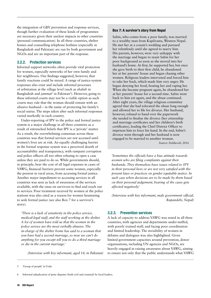the integration of GBV prevention and response services, though further evaluation of these kinds of programmes are necessary given their unclear impacts in other countries (personal communication). In all three countries, shelter homes and counselling telephone hotlines (especially in Bangladesh and Pakistan) are run by both government and NGOs and are an important part of the response.

#### 3.2.2. Protection services

Informal support networks often provide vital protection for women, especially networks of her own family and her neighbours. Our findings suggested, however, that family reactions could be mixed. A range of justice-system responses also exist and include informal processes of arbitration at the village level (such as *shalish* in Bangladesh and *jammat*<sup>5</sup> in Pakistan<sup>6</sup>). However, going to these informal courts may not be a viable option as such courts may rule that the woman should remain with an abusive husband – in the name of protecting his family's social status. The steps taken after such informal responses varied markedly in each country.

Under-reporting of IPV to the police and formal justice system is a major challenge in all three countries as a result of entrenched beliefs that IPV is a 'private' matter. As a result, the overwhelming consensus across these countries was that formal services are not accessed until women's lives are at risk. An equally challenging barrier in the formal response system was a perceived dearth of accountability and transparency, with rampant corruption and police officers all too often refusing to open a case unless they are paid to do so. While governments should, in principle, bear the cost of all legal expenses in cases of VAWG, financial barriers prevent some women, especially the poorest in rural areas, from accessing formal justice. Another major impediment to accessing services in all countries was seen as lack of awareness of the services available, with the onus on survivors to find and reach out to services. Poor treatment received by women at the police stations was also cited as a reason for women hesistating to seek formal justice (see also Box 7 for a survivor's story).

*'There is a lack of sensitivity in the police service, medical-legal staff, and the staff working at the shelter. A lot of women have told us that the women in the police service are the most verbally abusive. The in-charge of the shelter home has said to a woman that you have had a second marriage, so now we can't do anything for you except tell you to do a third marriage or die in the current marriage.'* 

*(Interview with key informant, aged 14, in Pakistan)* 

#### Box 7: A survivor's story from Nepal

Sabin, who comes from a poor family, was married to a wealthy man from Kapilvastu, Western Nepal. He met her at a cousin's wedding and pursued her relentlessly until she agreed to marry him. His parents, however, were very unhappy with the marriage and began to taunt Sabin for her poor background as soon as she moved into her husband's home. At first, he supported her, but once she gave birth to their first child, he abandoned her at her parents' house and began chasing other women. Religious leaders intervened and forced him to take her back, which made him very angry. He began denying her food, beating her and raping her. When she became pregnant again, he abandoned her at her parents' house for a second time. Sabin went back to him yet again, and the abuse continued. After eight years, the village religious committee agreed that she had tolerated the abuse long enough and allowed her to file for divorce. Her husband, however, refused to hand over the paperwork she needed to finalise the divorce (her citizenship and marriage certificates and her children's birth certificates), leading the Chief District Officer to imprison him to force his hand. In the end, Sabin's divorce went through and her husband is now engaged to be married to another woman.

*Source: Fieldwork, 2016*

*'Sometimes the officials have a bias attitude towards women who are filing complaints against their husbands. They themselves have issues related to IPV in their personal lives or are not very satisfied with the present laws or practices on gender equitable justice. In such case when decisions are to be made by them based on their personal judgement, hearing of the cases gets affected negatively.'* 

*(Interview with key informant, male government official, Rupandehi, Nepal)* 

#### 3.2.3. Prevention services

A lack of capacity to address VAWG was noted in all three countries, with agencies and departments under-staffed, with poorly trained staff, and facing poor coordination and limited leadership. The invisibility of women in debates and dialogues was also highlighted. Given limited government capacities around prevention, donor organisations, including UN agencies and NGOs, are heavily engaged in raising awareness about VAWG, aiming to ensure not only that the public understands what VAWG

<sup>5 &#</sup>x27;Group of people' in Urdu

<sup>6</sup> Informal adjudication of petty disputes (both civil and criminal) by local leaders.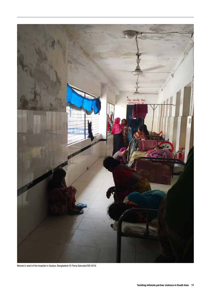

Women's ward of the hospital in Gazipur, Bangladesh © Fiona Samuels/ODI 2016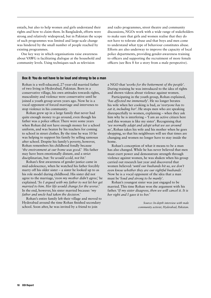entails, but also to help women and girls understand their rights and how to claim them. In Bangladesh, efforts were strong and relatively widespread, but in Pakistan the scope of such programmes was limited and large-scale change was hindered by the small number of people reached by existing programmes.

One key way in which organisations raise awareness about VAWG is facilitating dialogue at the household and community levels. Using techniques such as television

and radio programmes, street theatre and community discussions, NGOs work with a wide range of stakeholders to make sure that girls and women realise that they do not have to tolerate abuse and that boys and men come to understand what type of behaviour constitutes abuse. Efforts are also underway to improve the capacity of local police departments, providing gender-awareness training to officers and supporting the recruitment of more female officers (see Box 8 for a story from a male perspective).

#### Box 8: You do not have to be loud and strong to be a man

Rohan is a well-educated, 27-year-old married father of two living in Hyderabad, Pakistan. Born in a conservative village, his own attitudes towards rights, masculinity and violence were conservative until he joined a youth group seven years ago. Now he is a vocal opponent of forced marriage and intervenes to stop violence in his community.

Rohan grew up in a large family that never had quite enough money to go around, even though his father was a police officer. There were some years when Rohan did not have enough money for a school uniform, and was beaten by his teachers for coming to school in street clothes. By the time he was 10 he was helping to support his family by selling samosas after school. Despite his family's poverty, however, Rohan remembers his childhood fondly because '*the environment at our home was good*.' His father may have been emotionally distant, and a strict disciplinarian, but: '*he would scold, not hit*.'

Rohan's first awareness of gender justice came in mid-adolescence, when he watched his father forcibly marry off his older sister – a sister he looked up to as his role model during childhood. His sister did not agree to the marriage, '*even my mother didn't agree*,' he explained. '*So I argued with my father to not let her get married to him. Her life would change for the worse*.' In the end, however, his sister married because: '*my father and uncle had taken the decision.'*

Rohan's entire family left their village and moved to Hyderabad around the time Rohan finished secondary school. Soon after, he was invited by a friend to join

a NGO that '*works for the betterment of the people*'. During training he was introduced to the idea of rights and shown videos about violence against women.

Participating in the youth group, Rohan explained, '*has affected me immensely*'. He no longer berates his wife when her cooking is bad, as '*everyone has to eat it, including her*'. He stops men who are speaking disrespectfully to women, explaining – when they ask him why he is interfering – 'I am an active citizen here and this woman is like my sister'. Recognising that '*we normally adapt and adopt what we see around us'*, Rohan takes his wife and his mother when he goes shopping, so that his neighbours will see that times are changing and women no longer have to stay inside the home.

Rohan's conception of what it means to be a man has also changed. While he has never believed that men must exert power and demonstrate strength through violence against women, he was shaken when his group carried out research last year and discovered that women believed: '*until our husbands hit us, we don't even know whether they are our rightful husbands*'. Now he is a vocal opponent of the idea that a man must be '*loud and strong to be manly*'.

Rohan's youngest sister was just engaged to be married. This time Rohan won the argument with his father. '*If my sister disagrees, then we will cancel it. It is her right and I gave it to her.*'

> *Source: In-depth interview with male community activist, Hyderabad, Pakistan.*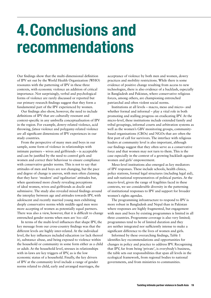## 4.Conclusions and recommendations

Our findings show that the multi-dimensional definition of IPV set out by the World Health Organization (WHO) resonates with the patterning of IPV in these three contexts, with economic violence an addition of critical importance. Not surprisingly, verbal and psychological forms of violence are rarely discussed or reported but our primary research findings suggest that they form a fundamental part of the IPV experienced by women.

Our findings also show, however, the need to include definitions of IPV that are culturally resonant and context-specific in any umbrella conceptualisation of IPV in the region. For example, dowry-related violence, acid throwing, *fatwa* violence and polygamy-related violence are all significant dimensions of IPV experiences in our study countries.

From the perspective of many men and boys in our sample, some form of violence in relationships with intimate partners – wives and girlfriends – is acceptable and can be justified by the need to control girls and women and correct their behaviour to ensure compliance with conservative gender norms. This is not to say that attitudes of men and boys are not changing, but the pace and degree of change is uneven, with men often claiming that they have 'modern' and 'egalitarian' attitudes but, when questioned more closely revealing perceptions of ideal women, wives and girlfriends as docile and submissive. The study also revealed mixed findings around the interplay between age and attitudes towards IPV, with adolescent and recently married young men exhibiting deeply conservative norms while middle-aged men were more accepting of women as potentially equal partners. There was also a view, however, that it is difficult to change entrenched gender norms when men are '*too old*'.

In terms of the multi-level influences that shape IPV, the key message from our cross-country findings was that the different levels are highly inter-related. At the individual level, the key influences included education (or lack thereof it), substance abuse, and being exposed to violence within the household or community in some form either as a child or adult. At the household level, stresses in relationships with in-laws are key triggers of IPV, as is the low economic status of a household. Finally, the key drivers of IPV at the community level include a range of gender norms related to child, early and arranged marriages, the

acceptance of violence by both men and women, dowry practices and mobility restrictions. While there is some evidence of positive change resulting from access to new technologies, there is also evidence of a backlash, especially in Bangladesh and Pakistan, where conservative religious forces, among others, are championing entrenched patriarchal and often violent social norms.

Institutions at all levels – macro, meso and micro– and whether formal and informal – play a vital role in both promoting and stalling progress on eradicating IPV. At the micro-level, these institutions include extended family and tribal groupings, informal courts and arbitration systems as well as the women's GBV monitoring groups, communitybased organisations (CBOs) and NGOs that are often the first port of call for survivors. The interface with religious leaders at community level is also important, although our findings suggest that they often serve as a conservative force and that women may not turn to them. This is the case especially in the context of a growing backlash against women and girls' empowerment.

Meso-level institutions also emerged as key mediators of IPV responses. These include schools, health clinics, police stations, formal legal structures (including legal aid), and sub-national representatives of political parties. At the macro-level, given the range of fragilities faced in these contexts, we see considerable diversity in the patterning of institutional responses to IPV and support for broader women's rights agendas.

The programming infrastructure to respond to IPV is more robust in Bangladesh and Nepal than in Pakistan where responses are highly fragmented, but engagement with men and boys by existing programmes is limited in all three countries. Programme coverage is also very limited; programmes tend to be of limited duration and they are neither integrated nor sufficiently intense to make a significant difference to the lives of women and girls.

Informed by these overarching findings, Table 1 identifies key recommendations and opportunities for changes in policy and practice to address IPV. Recognising that IPV, far from being 'private', is everybody's business, the table sets out responsibilities that span all levels in the ecological framework, from regional bodies to national governments, and from ministries to communities.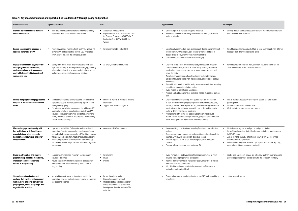- Ensuring that the definition adequately captures variations within countries on IPV attitudes and behaviours
- Risk of fragmented messaging that fails to build on or complement different messages from different sectors and levels
- Risk of backlash by boys and men, especially if such measures are not carried out in a way that is culturally resonant

| Recommendation                                                                                                                                                                  | <b>Operationalisation</b>                                                                                                                                                                                                                                                                                                                                                                                                                  | Who                                                                                                                                                                                              | <b>Opportunities</b>                                                                                                                                                                                                                                                                                                                                                                                                                                                                                                                                                                                                                                                                                 | <b>Challenges</b>                                                                   |
|---------------------------------------------------------------------------------------------------------------------------------------------------------------------------------|--------------------------------------------------------------------------------------------------------------------------------------------------------------------------------------------------------------------------------------------------------------------------------------------------------------------------------------------------------------------------------------------------------------------------------------------|--------------------------------------------------------------------------------------------------------------------------------------------------------------------------------------------------|------------------------------------------------------------------------------------------------------------------------------------------------------------------------------------------------------------------------------------------------------------------------------------------------------------------------------------------------------------------------------------------------------------------------------------------------------------------------------------------------------------------------------------------------------------------------------------------------------------------------------------------------------------------------------------------------------|-------------------------------------------------------------------------------------|
| Promote definitions of IPV that have<br>cultural resonance                                                                                                                      | Build on standardised measurements for IPV and identify<br>$\bullet$<br>agreed indicators that have cultural resonance                                                                                                                                                                                                                                                                                                                     | • Academics, educationalists<br>• Regional bodies - South Asian Association<br>for Regional Cooperation (SAARC), WHO<br>Regional Office, UNFPA, UNICEF, UN<br>Women                              | Securing a place at the table at regional meetings<br>Promoting opportunities for dialogue between academics, civil society<br>and educationalists                                                                                                                                                                                                                                                                                                                                                                                                                                                                                                                                                   | • Ensurin<br>on IPV a                                                               |
| <b>Ensure programming responds to</b><br>regional patterning of IPV                                                                                                             | • Invest in awareness-raising not only on IPV but also on the<br>relevant laws and policies that exist on GBV, inheritance,<br>dowry, divorce etc., and the services available                                                                                                                                                                                                                                                             | • Government, media, NGOs/ CBOs                                                                                                                                                                  | • Use interactive approaches, such as community theatre, working through<br>schools, community dialogues, safe spaces for women and girls to<br>discuss these issues, and work with male role models<br>Use media/social media to reinforce this messaging<br>$\bullet$                                                                                                                                                                                                                                                                                                                                                                                                                              | Risk of t<br>messag                                                                 |
| Engage with men and boys to better<br>tailor programme interventions,<br>while maintaining a strong gender<br>and rights focus that is inclusive of<br>women and girls          | Identify entry points where different groups of men and<br>$\bullet$<br>boys are most likely to be receptive to messaging, including<br>religious institutions (e.g. mosques and churches), schools,<br>youth groups, cafes, sports events and locations                                                                                                                                                                                   | • All actors, including communities                                                                                                                                                              | Given that social norms become more rigidly enforced and personally<br>salient in adolescence, it is critical to reach boys as early as possible,<br>ideally when they are pre-adolescent or very young adolescents, and<br>inside the family<br>Work through educational establishments and youth clubs to reach<br>adolescent boys and young men, including through influencing curricula<br>development<br>Work with role models of positive and progressive masculinities, including<br>$\bullet$<br>celebrities or progressive religious leaders<br>Invest in pilots to test different approaches<br>$\bullet$<br>Promote cost-cutting learning on promising models of engaging men and<br>boys | • Risk of I<br>carried                                                              |
| <b>Ensure that programming approaches</b><br>respond to the multi-level influences<br>of IPV                                                                                    | Ensure the promotion of an inter-sectoral and multi-level<br>approach through a national coordinating agency or inter-<br>agency working group<br>Pay attention not only to programming that addresses IPV<br>$\bullet$<br>specifically, but also to opportunities to mainstream IPV<br>prevention through programming related to e.g. women's<br>health, livelihoods/economic empowerment, food security,<br>infrastructure and transport | • Ministry of Women or Justice as possible<br>champions<br>• Support from donors and (I)NGOs                                                                                                     | Given the diverse programming entry-points, there are opportunities<br>$\bullet$<br>to work with the following target groups: men and women as couples,<br>in-laws, community and religious leaders, media leaders (given that the<br>media often reinforce discriminatory attitudes), police and the health<br>sector at different levels, and employers<br>Programming entry points can also include programmes to build<br>women's skills, credit and savings schemes, programmes on substance<br>abuse and employment opportunities for men and women                                                                                                                                            | Risk of<br>politica<br>Limitec<br>Weak ii                                           |
| Map and engage strategically with<br>key institutions at different levels,<br>especially in an effort to counter<br>backlash against women and girls'<br>empowerment            | Improve the availability of information and the skills and<br>$\bullet$<br>knowledge of service providers to prevent, screen for and<br>respond including making referrals re. IPV within and across<br>the justice, legal, protection, health and education sectors).<br>Promote legal reforms to criminalise IPV behaviours (e.g.<br>$\bullet$<br>marital rape), and for the prosecution and sentencing of IPV<br>perpetrators.          | • Government, NGOs and donors                                                                                                                                                                    | • Harness existing local structures, including formal and informal justice<br>systems<br>• Develop cross-country learning around promising practices through, for<br>example, SAARC, with support from donors as needed<br>• Enhance reporting of IPV to test and strengthen justice and police<br>systems<br>• Enhance referral systems across sectors on IPV                                                                                                                                                                                                                                                                                                                                       | • Limitec<br>Lack of<br>to GBV<br>$\bullet$ Lack of<br>awaren<br>Problen<br>prosecu |
| Invest in, strengthen and improve<br>programming, including monitoring,<br>evaluation and lesson-learning<br>related to programming                                             | Ensure greater investment in primary and secondary<br>$\bullet$<br>prevention initiatives.<br>Provide greater investment for prevention and treatment<br>$\bullet$<br>services to ensure adequate intensity and duration of<br>programming.                                                                                                                                                                                                | • Government<br>NGOs<br>• Donors                                                                                                                                                                 | • Invest in monitoring and evaluation of existing programming to inform<br>new and scalable programming approaches<br>Rigorous monitoring will also improve the quality of services as well as<br>$\bullet$<br>transparency and accountability<br>• It is critical to monitor and evaluate implementation of the law at a<br>national and sub-national level                                                                                                                                                                                                                                                                                                                                         | • Gender-<br>and fun                                                                |
| Strengthen data collection and<br>analysis that involves both men and<br>women, boys and girls from diverse<br>geographical, ethnic etc. groups with<br>regard to IPV practices | As part of this work, invest in strengthening culturally<br>$\bullet$<br>appropriate tools and scales to measure forms of economic<br>and emotional violence                                                                                                                                                                                                                                                                               | • Researchers in the region<br>Donors that support research<br>• UN agencies that are responsible for<br>the achievement of the Sustainable<br>Development Goals in relation to GBV<br>reduction | Growing global and regional attention to issues of IPV and recognition of<br>lack of data                                                                                                                                                                                                                                                                                                                                                                                                                                                                                                                                                                                                            | • Limited                                                                           |

• Risk of backlash, especially from religious leaders and conservative political parties • Limited and short-term funding cycles

• Weak institutional enforcement mechanisms

• Limited resourcing and lack of gender budget monitoring • Lack of incentives, given limited funding and institutional prestige related to GBV/IPV issues

- Lack of demand, given the often hidden nature of IPV and the limited awareness of existing services
- Problem of legal loopholes and elite capture, which undermine reporting, prosecution and transparency /accountability

• Gender- and social-norm change are often slow and non-linear processes and funding cycles are too short to allow for the necessary continuity

• Limited research funding

#### Table 1: Key recommendations and opportunities to address IPV through policy and practice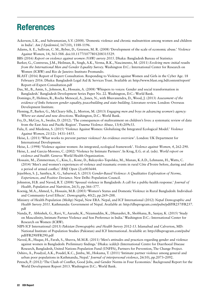### References

- Ackerson, L.K., and Subramanian, S.V. (2008). 'Domestic violence and chronic malnutrition among women and children in India'. *Am J Epidemiol*, 167(10), 1188-1196.
- Adams, A. E., Sullivan, C. M., Bybee, D., Greeson, M. R. (2008) 'Development of the scale of economic abuse.' *Violence Against Women*, 14, 563-588. doi:10.1177/1077801208315529.
- BBS (2016) *Report on violence against women (VAW) survey 2015*. Dhaka: Bangladesh Bureau of Statistics
- Barker, G., Contreras, J.M., Heilman, B., Singh, A.K., Verma, R.K., Nascimento, M. (2011) *Evolving men: initial results from the International Men and Gender Equality Survey*. Washington D.C.: International Center for Research on Women (ICRW) and Rio de Janeiro: Instituto Promundo.
- BLAST (2016) Report of Expert Consultation. Responding to Violence against Women and Girls in the Cyber Age. 18 February 2016. Dhaka: Bangladesh Legal Aid & Services Trust. Available at: http://www.blast.org.bd/content/report/ Report-of-Expert-Consultation.pdf
- Das, M., B., Amin, S., Johnson, K., Hossain, A. (2008) 'Whispers to voices: Gender and social transformation in Bangladesh.' Bangladesh Development Series Paper No. 22. Washington, D.C.: World Bank.
- Domingo, P., Holmes, R., Rocha Menocal, A., Jones, N., with Bhuvanendra, D., Wood, J. (2013) *Assessment of the evidence of links between gender equality, peacebuilding and state building*. Literature review. London: Overseas Development Institute.
- Fleming, P., Barker, G., McCleary-Sills, J., Morton, M. (2013) *Engaging men and boys in advancing women's agency: Where we stand and new directions*. Washington, D.C.: World Bank.
- Fry, D., McCoy, A., Swales, D. (2012). 'The consequences of maltreatment on children's lives: a systematic review of data from the East Asia and Pacific Region'. *Trauma Violence Abuse*, 13(4):209e33.
- Fulu, E. and Miedema, S. (2015) 'Violence Against Women: Globalizing the Integrated Ecological Model.' *Violence Against Women, 21*(12): 1431–1455.
- Heise, L. (2011) 'What works to prevent partner violence? An evidence overview'. London: UK Department for International Development.
- Heise, L. (1998) 'Violence against women: An integrated, ecological framework'. *Violence against Women, 4*, 262-290.
- Heise, L. and Garcia-Moreno, C. (2002) 'Violence by Intimate Partners'. In Krug, E.G. et al. (eds). *World report on violence and health*. Geneva: World Health Organization.
- Hossain, M., Zimmerman, C., Kiss, L., Kone, D., Bakayoko-Topolska, M., Manan, K.A.D., Lehmann, H., Watts, C. (2014) 'Men's and women's experiences of violence and traumatic events in rural Côte d'Ivoire before, during and after a period of armed conflict.' *BMJ Open* (2):e003644.
- Jejeebhoy, S. J., Santhya, K. G., Sabarwal, S. (2013) *Gender-Based Violence: A Qualitative Exploration of Norms, Experiences, and Positive Deviance*. New Delhi: Population Council.
- Johnston, H.B. and Naved, R.T. (2008) 'Spousal violence in Bangladesh: A call for a public-health response.' *Journal of Health, Population and Nutrition*, 26(3), pp.366–377.
- Koenig, M.A., Ahmed, S., Hossain, M.B. (2003) 'Women's Status and Domestic Violence in Rural Bangladesh: Individualand Community-Level Effects'. *Demography*, 40(2), pp.269–288.
- Ministry of Health Population (Mohp) Nepal, New ERA. Nepal, and ICF International (2012) *Nepal Demographic and Health Survey 2011*. Kathmandu: Government of Nepal. Available at: http://dhsprogram.com/pubs/pdf/FR257/FR257. pdf
- Nanda, P., Abhishek, G., Ravi, V., Aarushi, K., Nizamuddin, K., Dhanashri, B., Shobhana, B., Sanjay, K. (2015) 'Study on Masculinity, Intimate Partner Violence and Son Preference in India.' Washington D.C.: International Center for Research on Women (ICRW).
- NIPS ICF International (2013) *Pakistan Demographic and Health Survey 2012-13*. Islamabad and Calverton, MD: National Institute of Population Studies (Pakistan) and ICF International. Available at: http://dhsprogram.com/pubs/ pdf/FR290/FR290.pdf
- Naved, R., Huque, H., Farah, S., Shuvra, M.M.R. (2011) 'Men's attitudes and practices regarding gender and violence against women in Bangladesh: Preliminary findings.' Dhaka: icddr,b (International Centre for Diarrhoeal Disease Research, Bangladesh, United Nations Population Fund (UNFPA), Partners for Prevention, The Change Project.
- Oshiro, A., Poudyal, A.K., Poudel, K.C., Jimba, M., Hokama, T. (2011) 'Intimate partner violence among general and urban poor populations in Kathmandu, Nepal.' *Journal of interpersonal violence*, 26(10), pp.2073–2092.
- Petesch, P. (2012) 'The Clash of Conflict, Good Jobs, and Gender Norms in Four Economies.' Background Report for the World Development Report 2013. Washington D.C.: World Bank.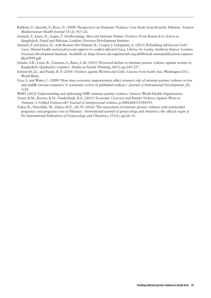- Rabbani, F., Qureshi, F., Rizvi, N. (2008) 'Perspectives on Domestic Violence: Case Study from Karachi, Pakistan.' *Eastern Mediterranean Health Journal* 14 (2): 415–26.
- Samuels, F., Jones, N., Gupta, T. (forthcoming). *Men and Intimate Partner Violence: From Research to Action in Bangladesh, Nepal and Pakistan*. London: Overseas Development Institute.
- Samuels, F. and Jones, N., with Bassam Abu Hamad, B., Cooper, J. Galappatti, A. (2015) *Rebuilding Adolescent Girls' Lives: Mental health and psychosocial support in conflict-affected Gaza, Liberia, Sri Lanka, Synthesis Report*. London: Overseas Development Institute. Available at: https://www.odi.org/sites/odi.org.uk/files/odi-assets/publications-opinionfiles/9999.pdf
- Schuler, S.R., Lenzi, R., Nazneen, S., Bates, L.M. (2013) 'Perceived decline in intimate partner violence against women in Bangladesh: Qualitative evidence'. *Studies in Family Planning*, 44(3), pp.243–257.
- Solotaroff, J.L. and Pande, R. P. (2014) *Violence against Women and Girls: Lessons from South Asia*. Washington D.C.: World Bank.
- Vyas, S. and Watts, C. (2008) 'How does economic empowerment affect women's risk of intimate partner violence in low and middle income countries? A systematic review of published evidence.' *Journal of International Development*, 20, 1e28.
- WHO (2012) Understanding and addressing VAW: intimate partner violence. Geneva: World Health Organization.
- Yount, K.M., Krause, K.H., VanderEnde, K.E. (2015) '*Economic Coercion and Partner Violence Against Wives in Vietnam: A Unified Framework?*' *Journal of interpersonal violence*, p.0886260515584350-
- Zakar, R., Nasrullah, M., Zakar, M.Z., Ali, H. (2016) 'The association of intimate partner violence with unintended pregnancy and pregnancy loss in Pakistan.' *International journal of gynaecology and obstetrics: the official organ of the International Federation of Gynaecology and Obstetrics*, 133(1), pp.26–31.